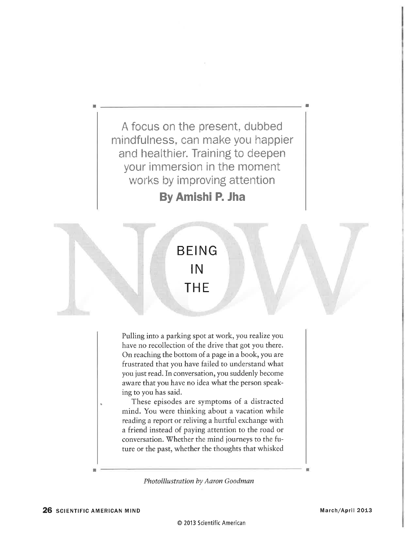A focus on the present, dubbed mindfulness, can make you happier and healthier. Training to deepen your immersion in the moment works by improving attention

By Amishi P. Jha

# **BEING** IN **THF**

Pulling into a parking spot at work, you realize you have no recollection of the drive that got you there. On reaching the bottom of a page in a book, you are frustrated that you have failed to understand what you just read. In conversation, you suddenly become aware that you have no idea what the person speaking to you has said.

These episodes are symptoms of a distracted mind. You were thinking about a vacation while reading a report or reliving a hurtful exchange with a friend instead of paying attention to the road or conversation. Whether the mind journeys to the future or the past, whether the thoughts that whisked

Photoillustration by Aaron Goodman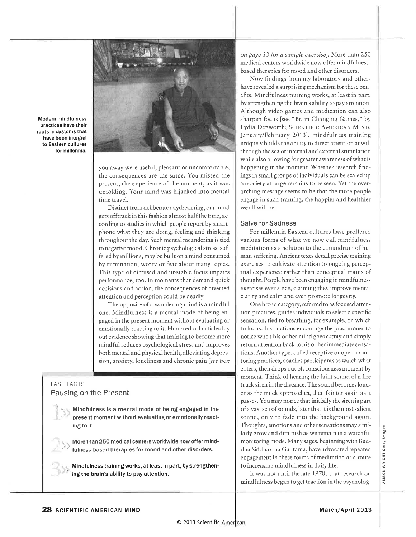

Modern mindfulness practices have their roots in customs that have been integral to Eastern cultures for millennia.

> you away were useful, pleasant or uncomfortable, the consequences are the sâme. You missed the present, the experience of the moment, as it was unfolding. Your mind was hijacked into mental time travel.

> Distinct from deliberate daydreaming, our mind gets offtrack in this fashion almost half the time, according to studies in which people report by smartphone what they are doing, feeling and thinking throughout the day. Such mental meandering is tied to negative mood. Chronic psychological stress, suffered by millions, may be built on a mind consumed by rumination, worry or fear about many topics. This type of diffused and unstable focus impairs performance, too. In moments that demand quick decisions and action, the consequences of diverted âttention and perception could be deadly.

> The opposite of a wandering mind is a mindful one. Mindfulness is a mental mode of being engaged in the present moment without evaluating or emotionally reacting to it. Hundreds of articles lay out evidence showing that training to become more mindful reduces psychological stress and improves both mental and physical health, alleviating depression, anxiety, loneliness and chronic pain [see box

# FAST FACTS Pausing on the Present

Mindfulness is a mental mode of being engaged in the present moment without evaluating or emotionally reacting to it.

More than 250 medical centers worldwide now offer mindfulness-based therapies for mood and other disorders.

Mindfulness training works, at least in part, by strengthening the brain's ability to pay attention.

on þage 33 for a sample exercise). More than 250 medical centers worldwide now offer mindfulnessbased therapies for mood and other disorders.

Now findings from my laboratory and others have revealed a surprising mechanism for these benefits. Mindfulness training works, at least in part, by strengthening the brain's ability to pay attention. Although video games and medication can also sharpen focus [see "Brain Changing Games," by Lydia Denworth; SCIENTIFIC AMERICAN MIND, January/February 2013], mindfulness training uniquely builds the ability to direct attention at will through the sea of internal and external stimulation while also allowing for greater awareness of what is happening in the moment. Whether research findings in small groups of individuals can be scaled up to society at large remains to be seen. Yet the overarching message seems to be that the more people engage in such training, the happier and healthier we all will be.

### Salve for Sadness

For millennia Eastern cultures have proffered various forms of what we now call mindfulness meditation as a solution to the conundrum of human suffering. Ancient texts detail precise training exercises to cultivate attention to ongoing perceptual experience rather than conceptual trains of thought. People have been engaging in mindfulness exercises ever since, claiming they improve mental clarity and calm and even promote longevity.

One broad category, referred to as focused attention practices, guides individuals to select a specific sensation, tied to breathing, for example, on which to focus. Instructions encourage the practitioner to notice when his or her mind goes astray and simply return attention back to his or her immediate sensations. Another type, called receptive or open-monitoring practices, coaches participants to watch what enters, then drops out of, consciousness moment by moment. Think of hearing the faint sound of a fire truck siren in the distance. The sound becomes louder as the truck approaches, then fainter again as it passes. You may notice that initially the siren is part of a vast sea of sounds, later that it is the most salient sound, only to fade into the background again. Thoughts, emotions and other sensations may similarly grow and diminish as we remain in a watchful monitoring mode. Many sages, beginning with Buddha Siddhartha Gautama, have advocated repeated engagement in these forms of meditâtion âs a route to increasing mindfulness in daily life.

It was not until the Iate 1970s that research on mindfulness began to get traction in the psycholog-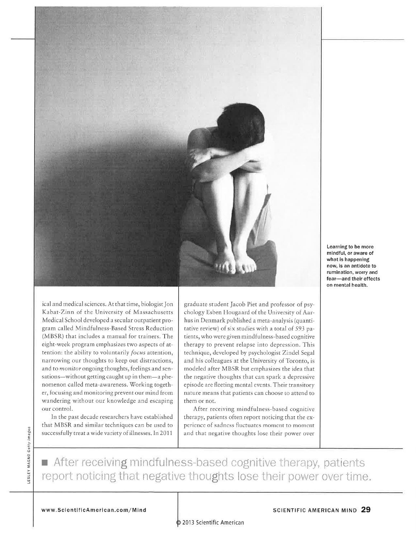

Learning to be more mindful, or aware of what is happening now, is an antidote to rumination, worry and fear-and their effects on mental health.

ical and medical sciences. At that time, biologist Jon Kabat-Zinn of the University of Massachusetts Medical School developed a secular outpatient program called Mindfulness-Based Stress Reduction (MBSR) that includes a manual for trainers. The eight-week program emphasizes two aspects of attention: the ability to voluntarily *focus* attention, narrowing our thoughts to keep out distractions, and to *monitor* ongoing thoughts, feelings and sensations-without getting caught up in them-a phenomenon called meta-awareness. Working together, focusing and monitoring prevent our mind from wandering without our knowledge and escaping our control.

In the past decade researchers have established that MBSR and similar techniques can be used to successfully treat a wide variety of illnesses. In 2011

graduate student Jacob Piet and professor of psychology Esben Hougaard of the University of Aarhus in Denmark published a meta-analysis (quantitative review) of six studies with a total of 593 patients, who were given mindfulness-based cognitive therapy to prevent relapse into depression. This technique, developed by psychologist Zindel Segal and his colleagues at the University of Toronto, is modeled after MBSR but emphasizes the idea that the negative thoughts that can spark a depressive episode are fleeting mental events. Their transitory nature means that patients can choose to attend to them or not.

After receiving mindfulness-based cognitive therapy, patients often report noticing that the experience of sadness fluctuates moment to moment and that negative thoughts lose their power over

After receiving mindfulness-based cognitive therapy, patients report noticing that negative thoughts lose their power over time.

LESLEY MAGNO Getty Images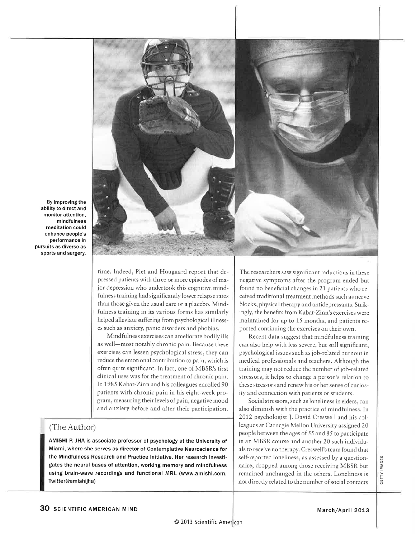

By improving the ability to direct and monitor attention, mindfulness meditation could enhance people's performance in pursuits as diverse as sports and surgery.

> time. Indeed, Piet and Hougaard report rhat depressed patients with three or more episodes of major depression who undertook this cognitive mindfulness training had significantly lower relapse rates than those given the usual care or a placebo. Mindfulness training in its various forms has similarly helped alleviate suffering from psychological illnesses such as anxiety, panic disorders and phobias.

> Mindfulness exercises can ameliorate bodily ills as well-most notably chronic pain. Because these exercises can lessen psychological stress, they can reduce the emotional contribution to pain, which is often quite significant. In fact, one of MBSR's first clinical uses was for the treatment of chronic pain. In 1985 Kabat-Zinn and his colleagues enrolled 90 patients with chronic pain in his eight-week program, meâsuring their levels of pain, negative mood and anxiety before and after their participation.

(The Author)

AMISHI P. JHA is associate professor of psychology at the University of Miami, where she serves as director of Contemplative Neuroscience for the Mindfulness Research and Practice Initiative. Her research investigates the neural bases of attention, working memory and mindfulness using brain-wave recordings and functional MRI. (www.amishi.com, Twitter@amishijha)

The researchers saw significant reductions in these negative symptoms after the program ended but found no beneficial changes in 21 patients who received traditional treatment methods such as nerve blocks, physical therapy and anridepressânts. Srrikingly, the benefits from Kabat-Zinn's exercises were maintained for up to 15 months, and patients reported continuing the exercises on their own.

Recent data suggest that mindfulness training can also help with less severe, but still significant, psychological issues such as job-related burnout in medical professionals and teachers. Although the training may not reduce the number of iob-related stressors, it helps to change a person's relation to these stressors and renew his or her sense of curiosity and connection with patients or students.

Social stressors, such as loneliness in elders, can also diminish with the practice of mindfulness. In 2012 psychologist J. David Creswell and his colleagues at Carnegie Mellon University assigned 20 people between the ages of 55 and 85 to participate in an MBSR course and another 20 such individuals to receive no therâpy. Creswell's team found that self-reported loneliness, as assessed by a questionnaire, dropped among those receiving MBSR but remained unchanged in the others. Loneliness is not directly related to the number of social contacts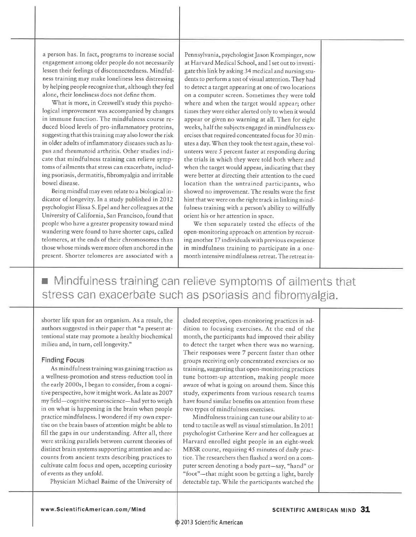a person has. In fact, programs to increase social engagement among older people do not necessarily lessen their feelings of disconnectedness. Mindfulness training may make loneliness less distressing by helping people recognize that, although they feel alone, their loneliness does not defìne them.

What is more, in Creswell's study this psychological improvement was accompanied by changes in immune function. The mindfulness course reduced blood levels of pro-inflammatory proteins, suggesting that this training may also lower the risk in older adults of inflammatory diseases such as lupus and rheumatoid arthritis. Other studies indicate that mindfulness training can relieve symptoms of ailments that stress can exacerbate, including psoriasis, dermatitis, fibromyalgia and irritable bowel disease.

Being mindful may even relate to a biological indicator of longevity. In a study published in2012 psychologist Elissa S. Epel and her colleagues at the University of California, San Francisco, found that people who have a greater propensity toward mind wandering were found to have shorter caps, called telomeres, at the ends of their chromosomes than those whose minds were more often anchored in the present. Shorter telomeres are associated with <sup>a</sup>

Pennsylvania, psychologist Jason Krompinger, now at Harvard Medical School, and I set out to investigate this link by asking 34 medical and nursing students to perform a test of visual attention. They had to detect â target âppearing at one of two locations on â computer screen. Sometimes they were told where and when the target would appear; other times they were either alerted only to when it would appear or given no warning at all. Then for eight weeks, half the subjects engaged in mindfulness exercises that required concentrated focus for 30 minutes a day. When they took the test again, these volunteers were 5 percent faster at responding during the trials in which they were told both where and when the target would appear, indicating that they were better at directing their attention to the cued location than the untrained participants, who showed no improvement. The results were the first hint that we were on the right track in linking mindfulness training with a person's ability to willfully orient his or her actention in space.

We then separately tested the effects of the open-monitoring approach on attention by recruiting another 17 individuals with previous experience in mindfulness training to participate in a onemonth intensive mindfulness retreat. The retreat in-

 $\blacksquare$  Mindfulness training can relieve symptoms of ailments that stress can exacerbate such as psoriasis and fibromyalgia.

shorter life span for an organism. As a result, the authors suggested in their paper that "a present attentional state may promote a healthy biochemical milieu and, in turn, cell longevity."

### Finding Focus

As mindfulness training was gaining traction as a wellness-promotion and stress-reduction tool in the early 2000s, I began to consider, from a cognitive perspective, how it might work. As late as 2007 my field-cognitive neuroscience-had yet to weigh in on what is happening in the brain when people practice mindfulness. I wondered if my own expertise on the brain bases of âttention might be able to fill the gaps in our understanding. After all, there were striking parallels between current theories of distinct brain systems supporting attention and accounts from ancient texts describing practices to cultivate calm focus and open, accepting curiosity of events as they unfold.

Physician Michael Baime of the University of

cluded receptive, open-monitoring practices in addition to focusing exercises. At the end of the month, the participants had improved their ability to detect the target when there was no warning. Their responses were 7 percent faster than other groups receiving only concentrated exercises or no training, suggesting that open-monitoring practices tune bottom-up attention, making people more aware of what is going on around them. Since this study, experiments from various research teams have found similar benefits on attention from these two types of mindfulness exercises.

Mindfulness training can tune our ability to attend to tactile as well as visual stimulation. In 2011 psychologist Catherine Kerr and her colleagues at Harvard enrolled eight people in an eight-week MBSR course, requiring 45 minutes of daily practice. The researchers then flashed a word on a computer screen denoting a body part-say, "hand" or "foot"-that might soon be getting a light, barely detectable tap. While the participants watched the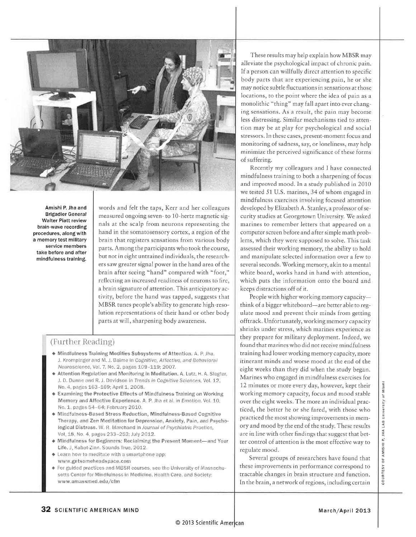

Amishi P. Jha and Brigadier General Walter Piatt review brain-wave recording procedures, along with a memory test military service members take before and after mindfulness training.

words and felt the taps, Kerr and her colleagues measured ongoing seven- to 10-hertz magnetic signals at the scalp from neurons representing the hand in the somatosensory cortex, a region of the brain that registers sensations from various body parts. Among the participants who took the course, but not in eight untrained individuals, the researchers sâw greater signal power in the hand area of the brain after seeing "hand" compared with "foot," rcflccting an increased readiness of neurons to fire, a brain signature of attention. This anticipatory activity, before the hand was tapped, suggests that MBSR tunes peopie's ability to generate high-resolution representations of their hand or other body parts at will, sharpening body awareness.

# (Further Reading)

- ◆ Mindfulness Training Modifies Subsystems of Attention. A. P. Jha. J. Krompinger and M. J. Baime in Cognitive, Affective, and Behavioral Neuroscíence, Vol. 7, No. 2, pages 109-119; 2007.
- ◆ Attention Regulation and Monitoring in Meditation. A. Lutz, H. A. Slagter, J. D. Dunne and R. J. Davidson in Trends in Cognitive Sciences, Vol. 12, No. 4, pages 163-169; April 1, 2008.
- + Examining the Protective Effects of Mindfulness Training on Working Memory and Affective Experience. A. P. Jha et al. in Emotion. Vol. 10, No. 1, pages 54-64; February 2010.
- ◆ Mindfulness-Based Stress Reduction, Mindfulness-Based Cognitive Therapy, and Zen Meditation for Depression, Anxiety, Pain, and Psychoiogical Distress. W. R. Marchand in Journal of Psychiatric Practice, Vol. 18, No. 4, pages 233~252: July 2012.
- + Mindfulness for Beginners: Reclaiming the Present Moment-and Your Life. J. Kabat-Zinn. Sounds True, 2012.
- $\bullet$  Learn how to meditate with a smartphone app: www.getsomeheadspace.com
- + For guided practices and MBSR courses, see the University of Massachusetts Center for Mindfulness in Medicine, Health Care, and Society: www.umassmed.edu/cfm

These results may help explain how MBSR may alleviate the psychological impact of chronic pain. If a person can willfully direct attention to specific body parts that are experiencing pain, he or she mây notice subtle fluctuations in sensations at those locations, to the point where the idea of pain as <sup>a</sup> monolithic "thing" may fall apart into ever changing sensations. As a result, the pain may become less distressing. Similar mechanisms tied to attention may be at play for psychological and social stressors. In these cases, present-moment focus and monitoring of sadness, say, or loneliness, may help minimize the perceived sìgnificance of these forms of suffering.

Recently my colleagues and I have connected mindfulness training to both a sharpening of focus and improved mood. In a study published in 2010 we tested 51 U.S. marines, 34 of whom engaged in mindfulness exercises involving focused âttention developed by Elizabeth A. Stanley, a professor of security studies at Georgetown University. We asked marines to remember letters that appeared on <sup>a</sup> computer screen before and after simple math problems, which they were supposed to solve. This task assessed their working memory, the ability to hold and manipulate selected information over a few to several seconds. Working memory, akin to a mental white board, works hand in hand with attention, which puts the information onto the board and keeps distractions off of it.

People with higher working memory capacitythink of a bigger whiteboard—are better able to regulate mood and prevent their minds from getting offtrack. Unfortunately, working memory capacity shrinks under stress, which marines experience as they prepare for military deployment. Indeed, we found that marines who did not receive mindfulness train ing had lower working memory capacity, more itinerant minds and worse mood at the end of the eight weeks than they did when the study began. Marines who engaged in mindfulness exercises for 12 minutes or more every day, however, kept their working memory capacity, focus and mood stable over the eight weeks. The more an individual practiced, the better he or she fared, with those who practiced the most showing improvemenrs in memory and mood by the end of the study. These results are in line with other findings that suggest that better control of attention is the most effective way to regulate mood.

Several groups of researchers have found that these improvements in performance correspond to tractable changes in brain structure and function. In the brain, a network of regions, including certain